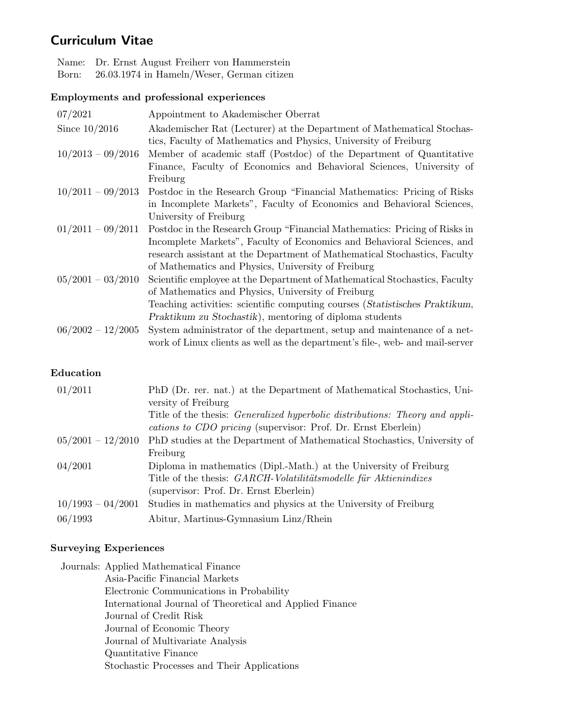# Curriculum Vitae

Name: Dr. Ernst August Freiherr von Hammerstein Born: 26.03.1974 in Hameln/Weser, German citizen

### Employments and professional experiences

| 07/2021             | Appointment to Akademischer Oberrat                                           |
|---------------------|-------------------------------------------------------------------------------|
| Since $10/2016$     | Akademischer Rat (Lecturer) at the Department of Mathematical Stochas-        |
|                     | tics, Faculty of Mathematics and Physics, University of Freiburg              |
| $10/2013 - 09/2016$ | Member of academic staff (Postdoc) of the Department of Quantitative          |
|                     | Finance, Faculty of Economics and Behavioral Sciences, University of          |
|                     | Freiburg                                                                      |
| $10/2011 - 09/2013$ | Postdoc in the Research Group "Financial Mathematics: Pricing of Risks        |
|                     | in Incomplete Markets", Faculty of Economics and Behavioral Sciences,         |
|                     | University of Freiburg                                                        |
| $01/2011 - 09/2011$ | Postdoc in the Research Group "Financial Mathematics: Pricing of Risks in     |
|                     | Incomplete Markets", Faculty of Economics and Behavioral Sciences, and        |
|                     | research assistant at the Department of Mathematical Stochastics, Faculty     |
|                     | of Mathematics and Physics, University of Freiburg                            |
| $05/2001 - 03/2010$ | Scientific employee at the Department of Mathematical Stochastics, Faculty    |
|                     | of Mathematics and Physics, University of Freiburg                            |
|                     | Teaching activities: scientific computing courses (Statistisches Praktikum,   |
|                     | Praktikum zu Stochastik), mentoring of diploma students                       |
| $06/2002 - 12/2005$ | System administrator of the department, setup and maintenance of a net-       |
|                     | work of Linux clients as well as the department's file-, web- and mail-server |

#### Education

| 01/2011             | PhD (Dr. rer. nat.) at the Department of Mathematical Stochastics, Uni-             |
|---------------------|-------------------------------------------------------------------------------------|
|                     | versity of Freiburg                                                                 |
|                     | Title of the thesis: <i>Generalized hyperbolic distributions: Theory and appli-</i> |
|                     | cations to CDO pricing (supervisor: Prof. Dr. Ernst Eberlein)                       |
| $05/2001 - 12/2010$ | PhD studies at the Department of Mathematical Stochastics, University of            |
|                     | Freiburg                                                                            |
| 04/2001             | Diploma in mathematics (Dipl.-Math.) at the University of Freiburg                  |
|                     | Title of the thesis: GARCH-Volatilitätsmodelle für Aktienindizes                    |
|                     | (supervisor: Prof. Dr. Ernst Eberlein)                                              |
| $10/1993 - 04/2001$ | Studies in mathematics and physics at the University of Freiburg                    |
| 06/1993             | Abitur, Martinus-Gymnasium Linz/Rhein                                               |

## Surveying Experiences

Journals: Applied Mathematical Finance Asia-Pacific Financial Markets Electronic Communications in Probability International Journal of Theoretical and Applied Finance Journal of Credit Risk Journal of Economic Theory Journal of Multivariate Analysis Quantitative Finance Stochastic Processes and Their Applications